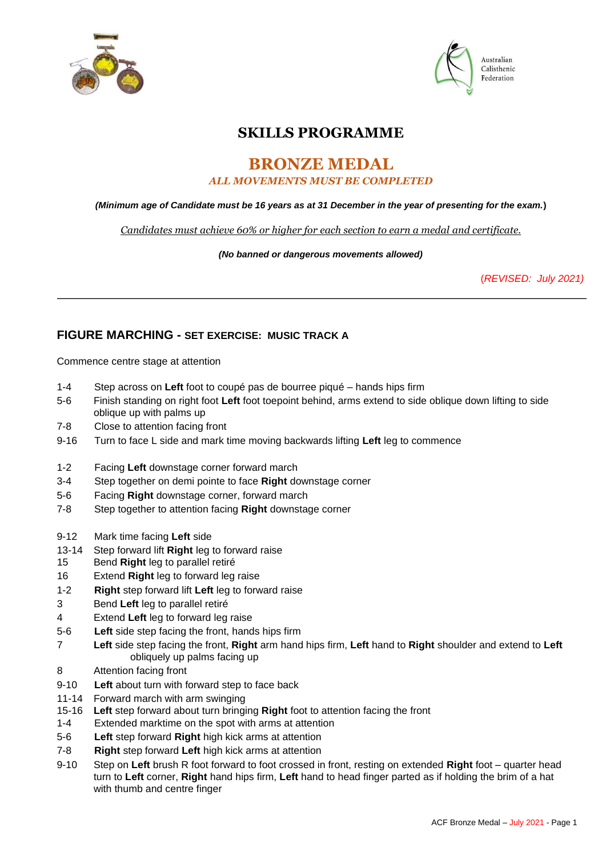



# **SKILLS PROGRAMME**

## **BRONZE MEDAL**  *ALL MOVEMENTS MUST BE COMPLETED*

### *(Minimum age of Candidate must be 16 years as at 31 December in the year of presenting for the exam.***)**

*Candidates must achieve 60% or higher for each section to earn a medal and certificate.*

*(No banned or dangerous movements allowed)* 

(*REVISED: July 2021)*

## **FIGURE MARCHING - SET EXERCISE: MUSIC TRACK A**

Commence centre stage at attention

- 1-4 Step across on **Left** foot to coupé pas de bourree piqué hands hips firm
- 5-6 Finish standing on right foot **Left** foot toepoint behind, arms extend to side oblique down lifting to side oblique up with palms up
- 7-8 Close to attention facing front
- 9-16 Turn to face L side and mark time moving backwards lifting **Left** leg to commence
- 1-2 Facing **Left** downstage corner forward march
- 3-4 Step together on demi pointe to face **Right** downstage corner
- 5-6 Facing **Right** downstage corner, forward march
- 7-8 Step together to attention facing **Right** downstage corner
- 9-12 Mark time facing **Left** side
- 13-14 Step forward lift **Right** leg to forward raise
- 15 Bend **Right** leg to parallel retiré
- 16 Extend **Right** leg to forward leg raise
- 1-2 **Right** step forward lift **Left** leg to forward raise
- 3 Bend **Left** leg to parallel retiré
- 4 Extend **Left** leg to forward leg raise
- 5-6 **Left** side step facing the front, hands hips firm
- 7 **Left** side step facing the front, **Right** arm hand hips firm, **Left** hand to **Right** shoulder and extend to **Left** obliquely up palms facing up
- 8 Attention facing front
- 9-10 **Left** about turn with forward step to face back
- 11-14 Forward march with arm swinging
- 15-16 **Left** step forward about turn bringing **Right** foot to attention facing the front
- 1-4 Extended marktime on the spot with arms at attention
- 5-6 **Left** step forward **Right** high kick arms at attention
- 7-8 **Right** step forward **Left** high kick arms at attention
- 9-10 Step on **Left** brush R foot forward to foot crossed in front, resting on extended **Right** foot quarter head turn to **Left** corner, **Right** hand hips firm, **Left** hand to head finger parted as if holding the brim of a hat with thumb and centre finger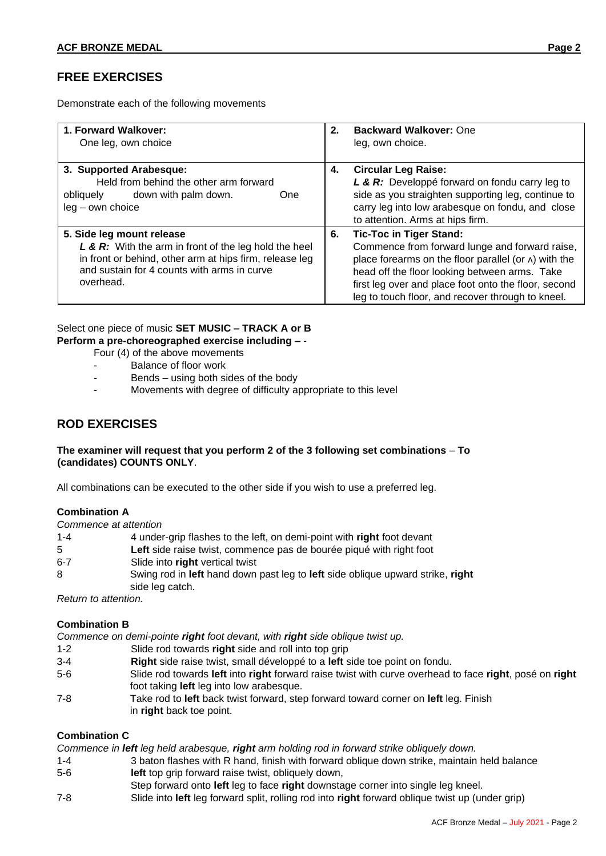## **FREE EXERCISES**

Demonstrate each of the following movements

| 1. Forward Walkover:<br>One leg, own choice                                                                                                                                                               | 2. | <b>Backward Walkover: One</b><br>leg, own choice.                                                                                                                                                                                                                                                              |
|-----------------------------------------------------------------------------------------------------------------------------------------------------------------------------------------------------------|----|----------------------------------------------------------------------------------------------------------------------------------------------------------------------------------------------------------------------------------------------------------------------------------------------------------------|
| 3. Supported Arabesque:<br>Held from behind the other arm forward<br>down with palm down.<br>obliquely<br>One<br>$leg - own choice$                                                                       | 4. | <b>Circular Leg Raise:</b><br>L & R: Developpé forward on fondu carry leg to<br>side as you straighten supporting leg, continue to<br>carry leg into low arabesque on fondu, and close<br>to attention. Arms at hips firm.                                                                                     |
| 5. Side leg mount release<br>L & R: With the arm in front of the leg hold the heel<br>in front or behind, other arm at hips firm, release leg<br>and sustain for 4 counts with arms in curve<br>overhead. | 6. | <b>Tic-Toc in Tiger Stand:</b><br>Commence from forward lunge and forward raise,<br>place forearms on the floor parallel (or $\wedge$ ) with the<br>head off the floor looking between arms. Take<br>first leg over and place foot onto the floor, second<br>leg to touch floor, and recover through to kneel. |

## Select one piece of music **SET MUSIC – TRACK A or B Perform a pre-choreographed exercise including –** -

- Four (4) of the above movements
- Balance of floor work
- Bends using both sides of the body
- Movements with degree of difficulty appropriate to this level

### **ROD EXERCISES**

### **The examiner will request that you perform 2 of the 3 following set combinations** – **To (candidates) COUNTS ONLY**.

All combinations can be executed to the other side if you wish to use a preferred leg.

#### **Combination A**

*Commence at attention* 

| $1 - 4$ | 4 under-grip flashes to the left, on demi-point with right foot devant         |
|---------|--------------------------------------------------------------------------------|
| 5.      | Left side raise twist, commence pas de bourée piqué with right foot            |
| $6 - 7$ | Slide into right vertical twist                                                |
| 8       | Swing rod in left hand down past leg to left side oblique upward strike, right |
|         | side leg catch.                                                                |

*Return to attention.* 

#### **Combination B**

*Commence on demi-pointe right foot devant, with right side oblique twist up.* 

- 1-2 Slide rod towards **right** side and roll into top grip
- 3-4 **Right** side raise twist, small développé to a **left** side toe point on fondu.
- 5-6 Slide rod towards **left** into **right** forward raise twist with curve overhead to face **right**, posé on **right** foot taking **left** leg into low arabesque.
- 7-8 Take rod to **left** back twist forward, step forward toward corner on **left** leg. Finish in **right** back toe point.

#### **Combination C**

*Commence in left leg held arabesque, right arm holding rod in forward strike obliquely down.* 

- 1-4 3 baton flashes with R hand, finish with forward oblique down strike, maintain held balance 5-6 **left** top grip forward raise twist, obliquely down,
- Step forward onto **left** leg to face **right** downstage corner into single leg kneel.
- 7-8 Slide into **left** leg forward split, rolling rod into **right** forward oblique twist up (under grip)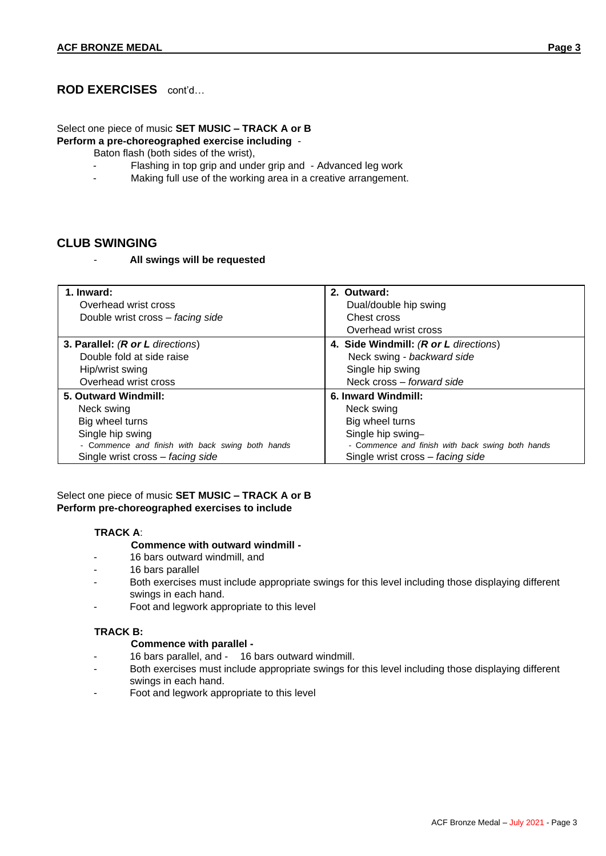## **ROD EXERCISES** cont'd…

## Select one piece of music **SET MUSIC – TRACK A or B**

**Perform a pre-choreographed exercise including** -

- Baton flash (both sides of the wrist),
- Flashing in top grip and under grip and Advanced leg work
- Making full use of the working area in a creative arrangement.

### **CLUB SWINGING**

- **All swings will be requested** 

| 1. Inward:                                       | 2. Outward:                                      |
|--------------------------------------------------|--------------------------------------------------|
| Overhead wrist cross                             | Dual/double hip swing                            |
| Double wrist cross - facing side                 | Chest cross                                      |
|                                                  | Overhead wrist cross                             |
| 3. Parallel: (R or L directions)                 | 4. Side Windmill: (R or L directions)            |
| Double fold at side raise                        | Neck swing - backward side                       |
| Hip/wrist swing                                  | Single hip swing                                 |
| Overhead wrist cross                             | Neck cross – forward side                        |
| 5. Outward Windmill:                             | 6. Inward Windmill:                              |
| Neck swing                                       | Neck swing                                       |
| Big wheel turns                                  | Big wheel turns                                  |
| Single hip swing                                 | Single hip swing-                                |
| - Commence and finish with back swing both hands | - Commence and finish with back swing both hands |
| Single wrist cross - facing side                 | Single wrist cross - facing side                 |

### Select one piece of music **SET MUSIC – TRACK A or B Perform pre-choreographed exercises to include**

### **TRACK A**:

#### **Commence with outward windmill -**

- 16 bars outward windmill, and
- 16 bars parallel
- Both exercises must include appropriate swings for this level including those displaying different swings in each hand.
- Foot and legwork appropriate to this level

### **TRACK B:**

#### **Commence with parallel -**

- 16 bars parallel, and 16 bars outward windmill.
- Both exercises must include appropriate swings for this level including those displaying different swings in each hand.
- Foot and legwork appropriate to this level